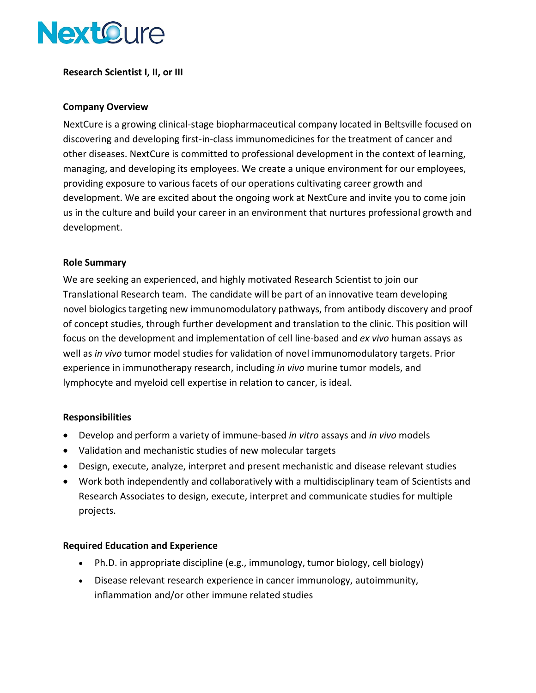

**Research Scientist I, II, or III**

## **Company Overview**

NextCure is a growing clinical-stage biopharmaceutical company located in Beltsville focused on discovering and developing first-in-class immunomedicines for the treatment of cancer and other diseases. NextCure is committed to professional development in the context of learning, managing, and developing its employees. We create a unique environment for our employees, providing exposure to various facets of our operations cultivating career growth and development. We are excited about the ongoing work at NextCure and invite you to come join us in the culture and build your career in an environment that nurtures professional growth and development.

## **Role Summary**

We are seeking an experienced, and highly motivated Research Scientist to join our Translational Research team. The candidate will be part of an innovative team developing novel biologics targeting new immunomodulatory pathways, from antibody discovery and proof of concept studies, through further development and translation to the clinic. This position will focus on the development and implementation of cell line-based and *ex vivo* human assays as well as *in vivo* tumor model studies for validation of novel immunomodulatory targets. Prior experience in immunotherapy research, including *in vivo* murine tumor models, and lymphocyte and myeloid cell expertise in relation to cancer, is ideal.

#### **Responsibilities**

- Develop and perform a variety of immune-based *in vitro* assays and *in vivo* models
- Validation and mechanistic studies of new molecular targets
- Design, execute, analyze, interpret and present mechanistic and disease relevant studies
- Work both independently and collaboratively with a multidisciplinary team of Scientists and Research Associates to design, execute, interpret and communicate studies for multiple projects.

# **Required Education and Experience**

- Ph.D. in appropriate discipline (e.g., immunology, tumor biology, cell biology)
- Disease relevant research experience in cancer immunology, autoimmunity, inflammation and/or other immune related studies